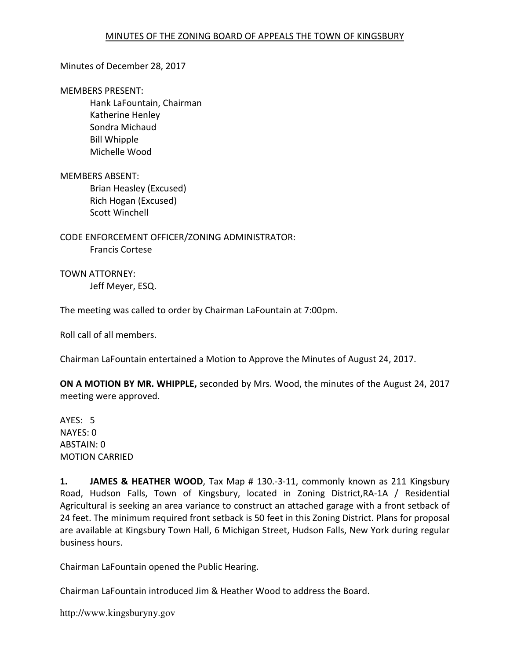#### Minutes of December 28, 2017

#### MEMBERS PRESENT:

Hank LaFountain, Chairman Katherine Henley Sondra Michaud Bill Whipple Michelle Wood

MEMBERS ABSENT:

Brian Heasley (Excused) Rich Hogan (Excused) Scott Winchell

CODE ENFORCEMENT OFFICER/ZONING ADMINISTRATOR: Francis Cortese

TOWN ATTORNEY: Jeff Meyer, ESQ.

The meeting was called to order by Chairman LaFountain at 7:00pm.

Roll call of all members.

Chairman LaFountain entertained a Motion to Approve the Minutes of August 24, 2017.

ON A MOTION BY MR. WHIPPLE, seconded by Mrs. Wood, the minutes of the August 24, 2017 meeting were approved.

AYES: 5 NAYES: 0 ABSTAIN: 0 MOTION CARRIED

1. JAMES & HEATHER WOOD, Tax Map # 130.-3-11, commonly known as 211 Kingsbury Road, Hudson Falls, Town of Kingsbury, located in Zoning District,RA-1A / Residential Agricultural is seeking an area variance to construct an attached garage with a front setback of 24 feet. The minimum required front setback is 50 feet in this Zoning District. Plans for proposal are available at Kingsbury Town Hall, 6 Michigan Street, Hudson Falls, New York during regular business hours.

Chairman LaFountain opened the Public Hearing.

Chairman LaFountain introduced Jim & Heather Wood to address the Board.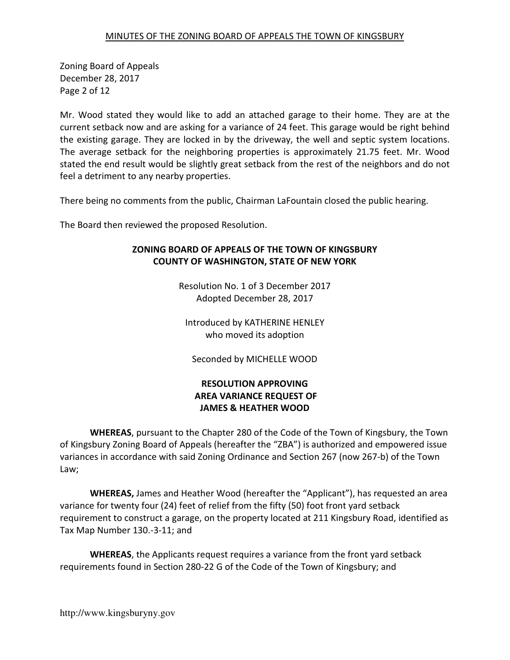Zoning Board of Appeals December 28, 2017 Page 2 of 12

Mr. Wood stated they would like to add an attached garage to their home. They are at the current setback now and are asking for a variance of 24 feet. This garage would be right behind the existing garage. They are locked in by the driveway, the well and septic system locations. The average setback for the neighboring properties is approximately 21.75 feet. Mr. Wood stated the end result would be slightly great setback from the rest of the neighbors and do not feel a detriment to any nearby properties.

There being no comments from the public, Chairman LaFountain closed the public hearing.

The Board then reviewed the proposed Resolution.

## ZONING BOARD OF APPEALS OF THE TOWN OF KINGSBURY COUNTY OF WASHINGTON, STATE OF NEW YORK

Resolution No. 1 of 3 December 2017 Adopted December 28, 2017

Introduced by KATHERINE HENLEY who moved its adoption

Seconded by MICHELLE WOOD

## RESOLUTION APPROVING AREA VARIANCE REQUEST OF JAMES & HEATHER WOOD

WHEREAS, pursuant to the Chapter 280 of the Code of the Town of Kingsbury, the Town of Kingsbury Zoning Board of Appeals (hereafter the "ZBA") is authorized and empowered issue variances in accordance with said Zoning Ordinance and Section 267 (now 267-b) of the Town Law;

WHEREAS, James and Heather Wood (hereafter the "Applicant"), has requested an area variance for twenty four (24) feet of relief from the fifty (50) foot front yard setback requirement to construct a garage, on the property located at 211 Kingsbury Road, identified as Tax Map Number 130.-3-11; and

WHEREAS, the Applicants request requires a variance from the front yard setback requirements found in Section 280-22 G of the Code of the Town of Kingsbury; and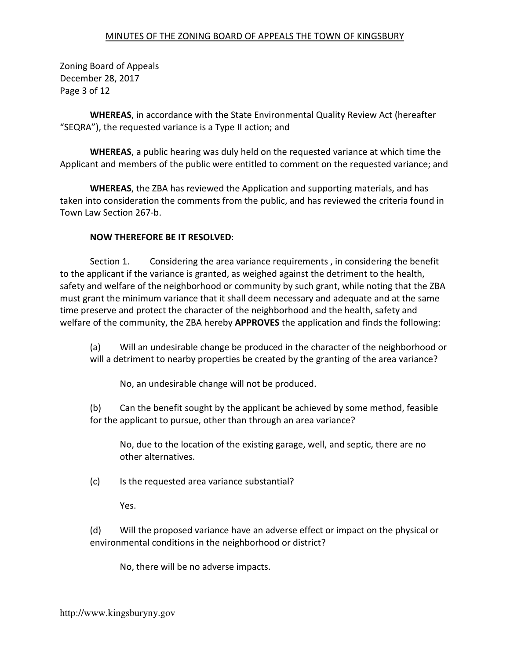Zoning Board of Appeals December 28, 2017 Page 3 of 12

WHEREAS, in accordance with the State Environmental Quality Review Act (hereafter "SEQRA"), the requested variance is a Type II action; and

WHEREAS, a public hearing was duly held on the requested variance at which time the Applicant and members of the public were entitled to comment on the requested variance; and

WHEREAS, the ZBA has reviewed the Application and supporting materials, and has taken into consideration the comments from the public, and has reviewed the criteria found in Town Law Section 267-b.

### NOW THEREFORE BE IT RESOLVED:

 Section 1. Considering the area variance requirements , in considering the benefit to the applicant if the variance is granted, as weighed against the detriment to the health, safety and welfare of the neighborhood or community by such grant, while noting that the ZBA must grant the minimum variance that it shall deem necessary and adequate and at the same time preserve and protect the character of the neighborhood and the health, safety and welfare of the community, the ZBA hereby **APPROVES** the application and finds the following:

(a) Will an undesirable change be produced in the character of the neighborhood or will a detriment to nearby properties be created by the granting of the area variance?

No, an undesirable change will not be produced.

(b) Can the benefit sought by the applicant be achieved by some method, feasible for the applicant to pursue, other than through an area variance?

No, due to the location of the existing garage, well, and septic, there are no other alternatives.

(c) Is the requested area variance substantial?

Yes.

(d) Will the proposed variance have an adverse effect or impact on the physical or environmental conditions in the neighborhood or district?

No, there will be no adverse impacts.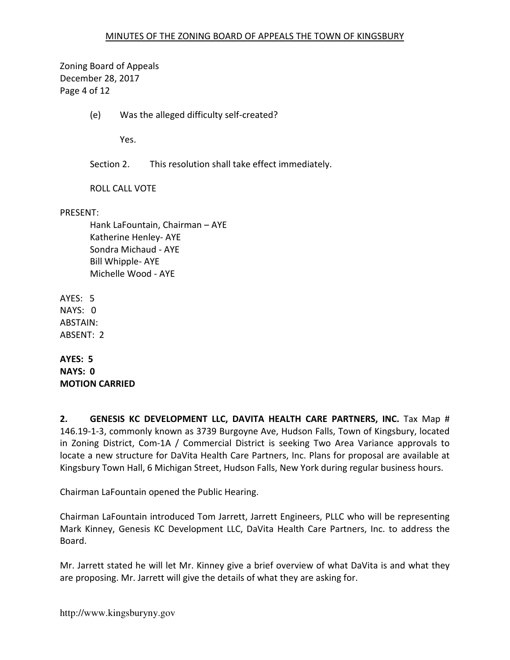Zoning Board of Appeals December 28, 2017 Page 4 of 12

(e) Was the alleged difficulty self-created?

Yes.

Section 2. This resolution shall take effect immediately.

ROLL CALL VOTE

PRESENT:

Hank LaFountain, Chairman – AYE Katherine Henley- AYE Sondra Michaud - AYE Bill Whipple- AYE Michelle Wood - AYE

AYES: 5 NAYS: 0 ABSTAIN: ABSENT: 2

AYES: 5 NAYS: 0 MOTION CARRIED

2. GENESIS KC DEVELOPMENT LLC, DAVITA HEALTH CARE PARTNERS, INC. Tax Map # 146.19-1-3, commonly known as 3739 Burgoyne Ave, Hudson Falls, Town of Kingsbury, located in Zoning District, Com-1A / Commercial District is seeking Two Area Variance approvals to locate a new structure for DaVita Health Care Partners, Inc. Plans for proposal are available at Kingsbury Town Hall, 6 Michigan Street, Hudson Falls, New York during regular business hours.

Chairman LaFountain opened the Public Hearing.

Chairman LaFountain introduced Tom Jarrett, Jarrett Engineers, PLLC who will be representing Mark Kinney, Genesis KC Development LLC, DaVita Health Care Partners, Inc. to address the Board.

Mr. Jarrett stated he will let Mr. Kinney give a brief overview of what DaVita is and what they are proposing. Mr. Jarrett will give the details of what they are asking for.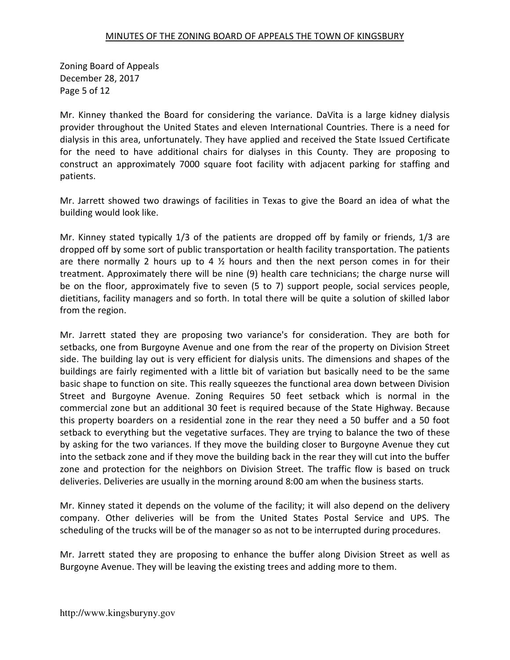Zoning Board of Appeals December 28, 2017 Page 5 of 12

Mr. Kinney thanked the Board for considering the variance. DaVita is a large kidney dialysis provider throughout the United States and eleven International Countries. There is a need for dialysis in this area, unfortunately. They have applied and received the State Issued Certificate for the need to have additional chairs for dialyses in this County. They are proposing to construct an approximately 7000 square foot facility with adjacent parking for staffing and patients.

Mr. Jarrett showed two drawings of facilities in Texas to give the Board an idea of what the building would look like.

Mr. Kinney stated typically 1/3 of the patients are dropped off by family or friends, 1/3 are dropped off by some sort of public transportation or health facility transportation. The patients are there normally 2 hours up to 4  $\frac{1}{2}$  hours and then the next person comes in for their treatment. Approximately there will be nine (9) health care technicians; the charge nurse will be on the floor, approximately five to seven (5 to 7) support people, social services people, dietitians, facility managers and so forth. In total there will be quite a solution of skilled labor from the region.

Mr. Jarrett stated they are proposing two variance's for consideration. They are both for setbacks, one from Burgoyne Avenue and one from the rear of the property on Division Street side. The building lay out is very efficient for dialysis units. The dimensions and shapes of the buildings are fairly regimented with a little bit of variation but basically need to be the same basic shape to function on site. This really squeezes the functional area down between Division Street and Burgoyne Avenue. Zoning Requires 50 feet setback which is normal in the commercial zone but an additional 30 feet is required because of the State Highway. Because this property boarders on a residential zone in the rear they need a 50 buffer and a 50 foot setback to everything but the vegetative surfaces. They are trying to balance the two of these by asking for the two variances. If they move the building closer to Burgoyne Avenue they cut into the setback zone and if they move the building back in the rear they will cut into the buffer zone and protection for the neighbors on Division Street. The traffic flow is based on truck deliveries. Deliveries are usually in the morning around 8:00 am when the business starts.

Mr. Kinney stated it depends on the volume of the facility; it will also depend on the delivery company. Other deliveries will be from the United States Postal Service and UPS. The scheduling of the trucks will be of the manager so as not to be interrupted during procedures.

Mr. Jarrett stated they are proposing to enhance the buffer along Division Street as well as Burgoyne Avenue. They will be leaving the existing trees and adding more to them.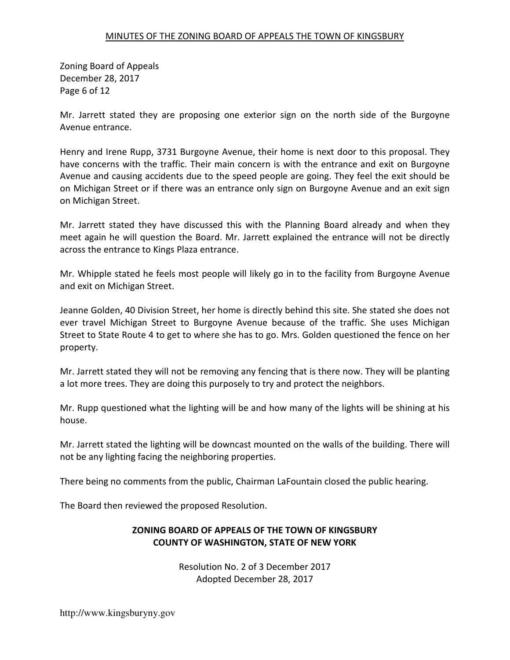Zoning Board of Appeals December 28, 2017 Page 6 of 12

Mr. Jarrett stated they are proposing one exterior sign on the north side of the Burgoyne Avenue entrance.

Henry and Irene Rupp, 3731 Burgoyne Avenue, their home is next door to this proposal. They have concerns with the traffic. Their main concern is with the entrance and exit on Burgoyne Avenue and causing accidents due to the speed people are going. They feel the exit should be on Michigan Street or if there was an entrance only sign on Burgoyne Avenue and an exit sign on Michigan Street.

Mr. Jarrett stated they have discussed this with the Planning Board already and when they meet again he will question the Board. Mr. Jarrett explained the entrance will not be directly across the entrance to Kings Plaza entrance.

Mr. Whipple stated he feels most people will likely go in to the facility from Burgoyne Avenue and exit on Michigan Street.

Jeanne Golden, 40 Division Street, her home is directly behind this site. She stated she does not ever travel Michigan Street to Burgoyne Avenue because of the traffic. She uses Michigan Street to State Route 4 to get to where she has to go. Mrs. Golden questioned the fence on her property.

Mr. Jarrett stated they will not be removing any fencing that is there now. They will be planting a lot more trees. They are doing this purposely to try and protect the neighbors.

Mr. Rupp questioned what the lighting will be and how many of the lights will be shining at his house.

Mr. Jarrett stated the lighting will be downcast mounted on the walls of the building. There will not be any lighting facing the neighboring properties.

There being no comments from the public, Chairman LaFountain closed the public hearing.

The Board then reviewed the proposed Resolution.

# ZONING BOARD OF APPEALS OF THE TOWN OF KINGSBURY COUNTY OF WASHINGTON, STATE OF NEW YORK

Resolution No. 2 of 3 December 2017 Adopted December 28, 2017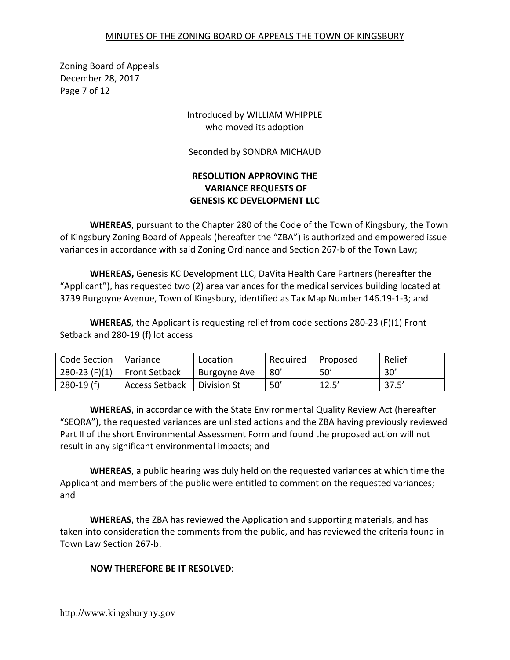Zoning Board of Appeals December 28, 2017 Page 7 of 12

## Introduced by WILLIAM WHIPPLE who moved its adoption

Seconded by SONDRA MICHAUD

## RESOLUTION APPROVING THE VARIANCE REQUESTS OF GENESIS KC DEVELOPMENT LLC

WHEREAS, pursuant to the Chapter 280 of the Code of the Town of Kingsbury, the Town of Kingsbury Zoning Board of Appeals (hereafter the "ZBA") is authorized and empowered issue variances in accordance with said Zoning Ordinance and Section 267-b of the Town Law;

WHEREAS, Genesis KC Development LLC, DaVita Health Care Partners (hereafter the "Applicant"), has requested two (2) area variances for the medical services building located at 3739 Burgoyne Avenue, Town of Kingsbury, identified as Tax Map Number 146.19-1-3; and

WHEREAS, the Applicant is requesting relief from code sections 280-23 (F)(1) Front Setback and 280-19 (f) lot access

| Code Section    | Variance              | Location      | Reguired | Proposed | Relief |
|-----------------|-----------------------|---------------|----------|----------|--------|
| $280-23$ (F)(1) | <b>Front Setback</b>  | Burgoyne Ave  | 80'      | 50'      | 30'    |
| $280-19(f)$     | <b>Access Setback</b> | l Division St | 50'      | 12.5'    | 37.5'  |

WHEREAS, in accordance with the State Environmental Quality Review Act (hereafter "SEQRA"), the requested variances are unlisted actions and the ZBA having previously reviewed Part II of the short Environmental Assessment Form and found the proposed action will not result in any significant environmental impacts; and

WHEREAS, a public hearing was duly held on the requested variances at which time the Applicant and members of the public were entitled to comment on the requested variances; and

WHEREAS, the ZBA has reviewed the Application and supporting materials, and has taken into consideration the comments from the public, and has reviewed the criteria found in Town Law Section 267-b.

## NOW THEREFORE BE IT RESOLVED: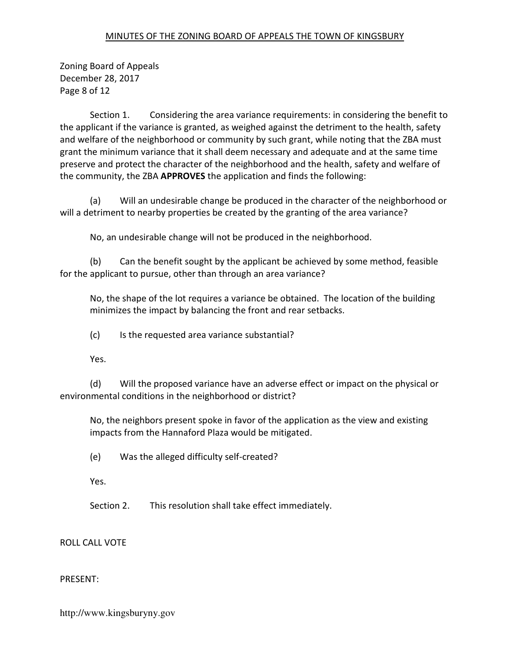Zoning Board of Appeals December 28, 2017 Page 8 of 12

 Section 1. Considering the area variance requirements: in considering the benefit to the applicant if the variance is granted, as weighed against the detriment to the health, safety and welfare of the neighborhood or community by such grant, while noting that the ZBA must grant the minimum variance that it shall deem necessary and adequate and at the same time preserve and protect the character of the neighborhood and the health, safety and welfare of the community, the ZBA APPROVES the application and finds the following:

 (a) Will an undesirable change be produced in the character of the neighborhood or will a detriment to nearby properties be created by the granting of the area variance?

No, an undesirable change will not be produced in the neighborhood.

 (b) Can the benefit sought by the applicant be achieved by some method, feasible for the applicant to pursue, other than through an area variance?

No, the shape of the lot requires a variance be obtained. The location of the building minimizes the impact by balancing the front and rear setbacks.

(c) Is the requested area variance substantial?

Yes.

 (d) Will the proposed variance have an adverse effect or impact on the physical or environmental conditions in the neighborhood or district?

No, the neighbors present spoke in favor of the application as the view and existing impacts from the Hannaford Plaza would be mitigated.

(e) Was the alleged difficulty self-created?

Yes.

Section 2. This resolution shall take effect immediately.

ROLL CALL VOTE

PRESENT: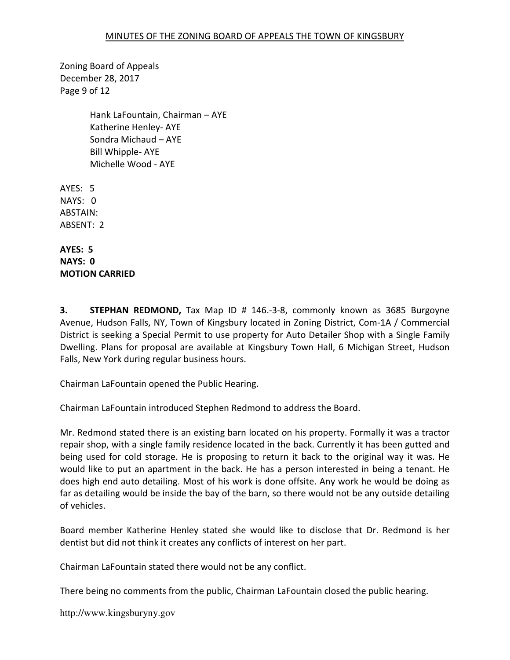Zoning Board of Appeals December 28, 2017 Page 9 of 12

> Hank LaFountain, Chairman – AYE Katherine Henley- AYE Sondra Michaud – AYE Bill Whipple- AYE Michelle Wood - AYE

AYES: 5 NAYS: 0 ABSTAIN: ABSENT: 2

AYES: 5 NAYS: 0 MOTION CARRIED

**3.** STEPHAN REDMOND, Tax Map ID # 146.-3-8, commonly known as 3685 Burgoyne Avenue, Hudson Falls, NY, Town of Kingsbury located in Zoning District, Com-1A / Commercial District is seeking a Special Permit to use property for Auto Detailer Shop with a Single Family Dwelling. Plans for proposal are available at Kingsbury Town Hall, 6 Michigan Street, Hudson Falls, New York during regular business hours.

Chairman LaFountain opened the Public Hearing.

Chairman LaFountain introduced Stephen Redmond to address the Board.

Mr. Redmond stated there is an existing barn located on his property. Formally it was a tractor repair shop, with a single family residence located in the back. Currently it has been gutted and being used for cold storage. He is proposing to return it back to the original way it was. He would like to put an apartment in the back. He has a person interested in being a tenant. He does high end auto detailing. Most of his work is done offsite. Any work he would be doing as far as detailing would be inside the bay of the barn, so there would not be any outside detailing of vehicles.

Board member Katherine Henley stated she would like to disclose that Dr. Redmond is her dentist but did not think it creates any conflicts of interest on her part.

Chairman LaFountain stated there would not be any conflict.

There being no comments from the public, Chairman LaFountain closed the public hearing.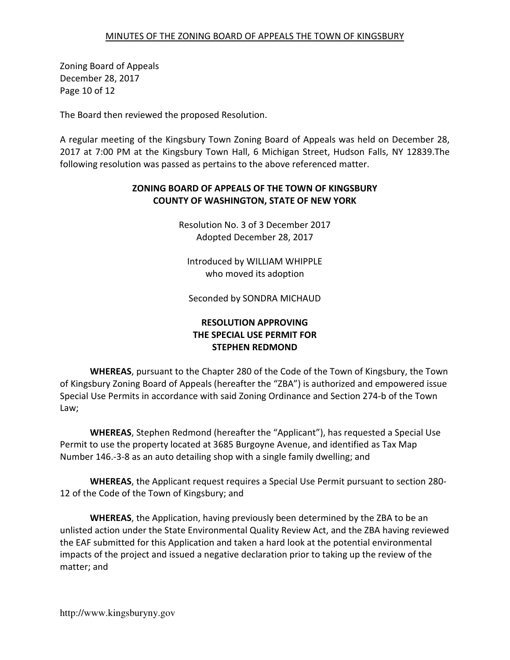Zoning Board of Appeals December 28, 2017 Page 10 of 12

The Board then reviewed the proposed Resolution.

A regular meeting of the Kingsbury Town Zoning Board of Appeals was held on December 28, 2017 at 7:00 PM at the Kingsbury Town Hall, 6 Michigan Street, Hudson Falls, NY 12839.The following resolution was passed as pertains to the above referenced matter.

## ZONING BOARD OF APPEALS OF THE TOWN OF KINGSBURY COUNTY OF WASHINGTON, STATE OF NEW YORK

Resolution No. 3 of 3 December 2017 Adopted December 28, 2017

Introduced by WILLIAM WHIPPLE who moved its adoption

Seconded by SONDRA MICHAUD

# RESOLUTION APPROVING THE SPECIAL USE PERMIT FOR STEPHEN REDMOND

WHEREAS, pursuant to the Chapter 280 of the Code of the Town of Kingsbury, the Town of Kingsbury Zoning Board of Appeals (hereafter the "ZBA") is authorized and empowered issue Special Use Permits in accordance with said Zoning Ordinance and Section 274-b of the Town Law;

WHEREAS, Stephen Redmond (hereafter the "Applicant"), has requested a Special Use Permit to use the property located at 3685 Burgoyne Avenue, and identified as Tax Map Number 146.-3-8 as an auto detailing shop with a single family dwelling; and

WHEREAS, the Applicant request requires a Special Use Permit pursuant to section 280- 12 of the Code of the Town of Kingsbury; and

WHEREAS, the Application, having previously been determined by the ZBA to be an unlisted action under the State Environmental Quality Review Act, and the ZBA having reviewed the EAF submitted for this Application and taken a hard look at the potential environmental impacts of the project and issued a negative declaration prior to taking up the review of the matter; and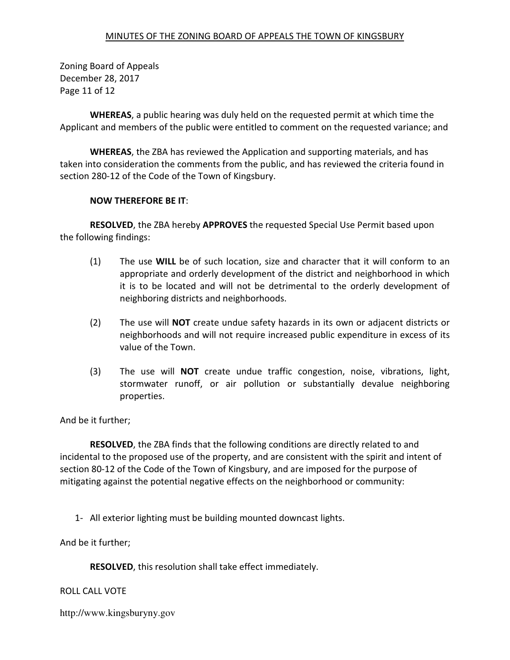Zoning Board of Appeals December 28, 2017 Page 11 of 12

WHEREAS, a public hearing was duly held on the requested permit at which time the Applicant and members of the public were entitled to comment on the requested variance; and

WHEREAS, the ZBA has reviewed the Application and supporting materials, and has taken into consideration the comments from the public, and has reviewed the criteria found in section 280-12 of the Code of the Town of Kingsbury.

### NOW THEREFORE BE IT:

RESOLVED, the ZBA hereby APPROVES the requested Special Use Permit based upon the following findings:

- (1) The use WILL be of such location, size and character that it will conform to an appropriate and orderly development of the district and neighborhood in which it is to be located and will not be detrimental to the orderly development of neighboring districts and neighborhoods.
- (2) The use will NOT create undue safety hazards in its own or adjacent districts or neighborhoods and will not require increased public expenditure in excess of its value of the Town.
- (3) The use will NOT create undue traffic congestion, noise, vibrations, light, stormwater runoff, or air pollution or substantially devalue neighboring properties.

And be it further;

RESOLVED, the ZBA finds that the following conditions are directly related to and incidental to the proposed use of the property, and are consistent with the spirit and intent of section 80-12 of the Code of the Town of Kingsbury, and are imposed for the purpose of mitigating against the potential negative effects on the neighborhood or community:

1- All exterior lighting must be building mounted downcast lights.

And be it further;

RESOLVED, this resolution shall take effect immediately.

### ROLL CALL VOTE